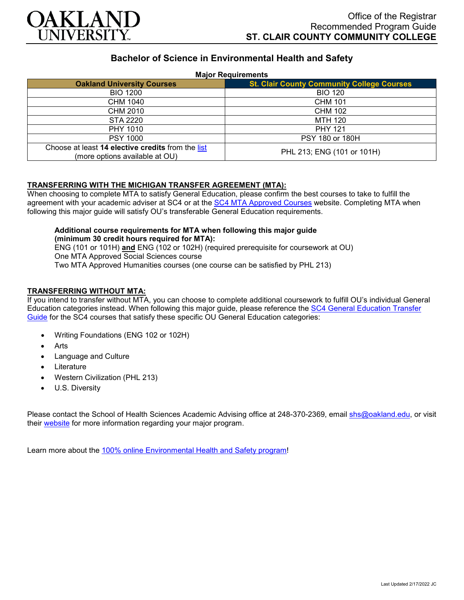

# **Bachelor of Science in Environmental Health and Safety**

#### **Major Requirements**

| <b>Oakland University Courses</b>                                                   | <b>St. Clair County Community College Courses</b> |
|-------------------------------------------------------------------------------------|---------------------------------------------------|
| <b>BIO 1200</b>                                                                     | <b>BIO 120</b>                                    |
| CHM 1040                                                                            | <b>CHM 101</b>                                    |
| CHM 2010                                                                            | <b>CHM 102</b>                                    |
| STA 2220                                                                            | MTH 120                                           |
| PHY 1010                                                                            | <b>PHY 121</b>                                    |
| <b>PSY 1000</b>                                                                     | PSY 180 or 180H                                   |
| Choose at least 14 elective credits from the list<br>(more options available at OU) | PHL 213; ENG (101 or 101H)                        |

### **TRANSFERRING WITH THE MICHIGAN TRANSFER AGREEMENT (MTA):**

When choosing to complete MTA to satisfy General Education, please confirm the best courses to take to fulfill the agreement with your academic adviser at SC4 or at the [SC4 MTA Approved Courses](https://sc4.edu/admissions/transferring-after-sc4/michigan-transfer-agreement/) website. Completing MTA when following this major guide will satisfy OU's transferable General Education requirements.

## **Additional course requirements for MTA when following this major guide (minimum 30 credit hours required for MTA):**

ENG (101 or 101H) **and** ENG (102 or 102H) (required prerequisite for coursework at OU) One MTA Approved Social Sciences course Two MTA Approved Humanities courses (one course can be satisfied by PHL 213)

### **TRANSFERRING WITHOUT MTA:**

If you intend to transfer without MTA, you can choose to complete additional coursework to fulfill OU's individual General Education categories instead. When following this major guide, please reference the [SC4 General Education Transfer](https://www.oakland.edu/Assets/Oakland/program-guides/st-clair-county-community-college/university-general-education-requirements/SC4%20Gen%20Ed.pdf)  [Guide](https://www.oakland.edu/Assets/Oakland/program-guides/st-clair-county-community-college/university-general-education-requirements/SC4%20Gen%20Ed.pdf) for the SC4 courses that satisfy these specific OU General Education categories:

- Writing Foundations (ENG 102 or 102H)
- **Arts**
- Language and Culture
- **Literature**
- Western Civilization (PHL 213)
- U.S. Diversity

Please contact the School of Health Sciences Academic Advising office at 248-370-2369, email [shs@oakland.edu,](mailto:shs@oakland.edu) or visit their [website](http://www.oakland.edu/shs/advising) for more information regarding your major program.

Learn more about the [100% online Environmental Health and Safety program!](https://www.oakland.edu/online/undergraduate-degree-programs/ehs/)